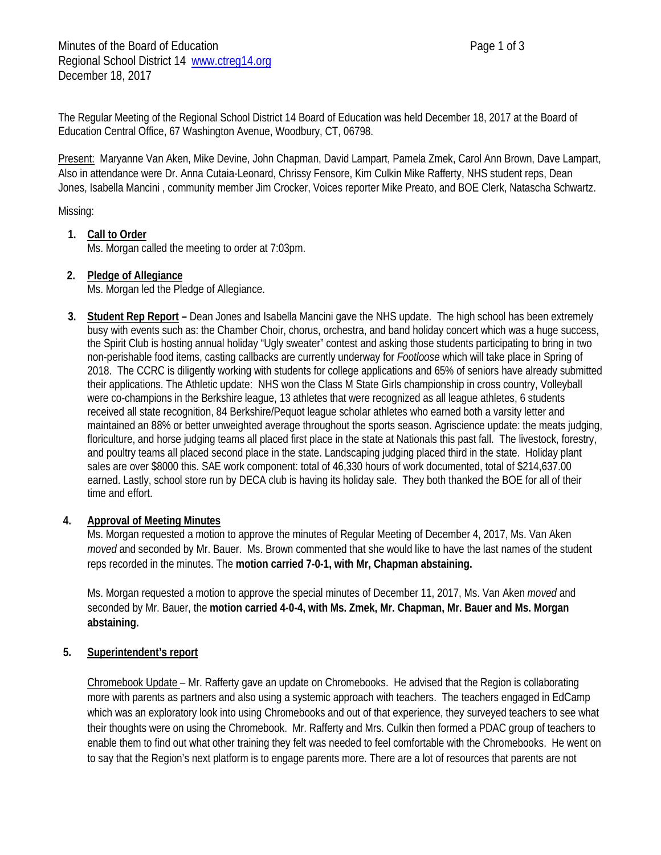The Regular Meeting of the Regional School District 14 Board of Education was held December 18, 2017 at the Board of Education Central Office, 67 Washington Avenue, Woodbury, CT, 06798.

Present: Maryanne Van Aken, Mike Devine, John Chapman, David Lampart, Pamela Zmek, Carol Ann Brown, Dave Lampart, Also in attendance were Dr. Anna Cutaia-Leonard, Chrissy Fensore, Kim Culkin Mike Rafferty, NHS student reps, Dean Jones, Isabella Mancini , community member Jim Crocker, Voices reporter Mike Preato, and BOE Clerk, Natascha Schwartz.

Missing:

# **1. Call to Order**

Ms. Morgan called the meeting to order at 7:03pm.

# **2. Pledge of Allegiance**

Ms. Morgan led the Pledge of Allegiance.

**3. Student Rep Report –** Dean Jones and Isabella Mancini gave the NHS update. The high school has been extremely busy with events such as: the Chamber Choir, chorus, orchestra, and band holiday concert which was a huge success, the Spirit Club is hosting annual holiday "Ugly sweater" contest and asking those students participating to bring in two non-perishable food items, casting callbacks are currently underway for *Footloose* which will take place in Spring of 2018. The CCRC is diligently working with students for college applications and 65% of seniors have already submitted their applications. The Athletic update: NHS won the Class M State Girls championship in cross country, Volleyball were co-champions in the Berkshire league, 13 athletes that were recognized as all league athletes, 6 students received all state recognition, 84 Berkshire/Pequot league scholar athletes who earned both a varsity letter and maintained an 88% or better unweighted average throughout the sports season. Agriscience update: the meats judging, floriculture, and horse judging teams all placed first place in the state at Nationals this past fall. The livestock, forestry, and poultry teams all placed second place in the state. Landscaping judging placed third in the state. Holiday plant sales are over \$8000 this. SAE work component: total of 46,330 hours of work documented, total of \$214,637.00 earned. Lastly, school store run by DECA club is having its holiday sale. They both thanked the BOE for all of their time and effort.

# **4. Approval of Meeting Minutes**

Ms. Morgan requested a motion to approve the minutes of Regular Meeting of December 4, 2017, Ms. Van Aken *moved* and seconded by Mr. Bauer. Ms. Brown commented that she would like to have the last names of the student reps recorded in the minutes. The **motion carried 7-0-1, with Mr, Chapman abstaining.**

Ms. Morgan requested a motion to approve the special minutes of December 11, 2017, Ms. Van Aken *moved* and seconded by Mr. Bauer, the **motion carried 4-0-4, with Ms. Zmek, Mr. Chapman, Mr. Bauer and Ms. Morgan abstaining.**

# **5. Superintendent's report**

Chromebook Update – Mr. Rafferty gave an update on Chromebooks. He advised that the Region is collaborating more with parents as partners and also using a systemic approach with teachers. The teachers engaged in EdCamp which was an exploratory look into using Chromebooks and out of that experience, they surveyed teachers to see what their thoughts were on using the Chromebook. Mr. Rafferty and Mrs. Culkin then formed a PDAC group of teachers to enable them to find out what other training they felt was needed to feel comfortable with the Chromebooks. He went on to say that the Region's next platform is to engage parents more. There are a lot of resources that parents are not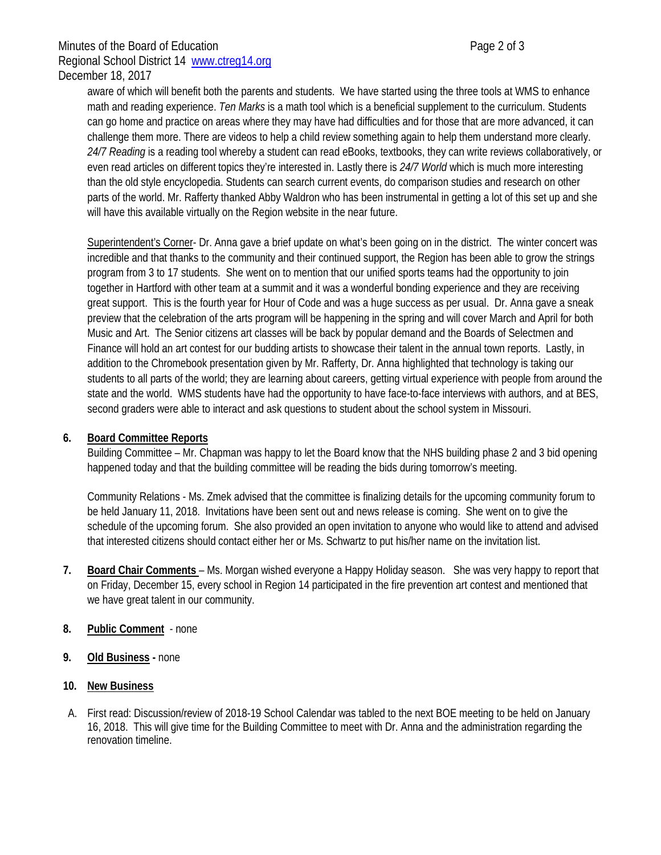# Minutes of the Board of Education **Page 2 of 3** Regional School District 14 [www.ctreg14.org](http://www.ctreg14.org/) December 18, 2017

aware of which will benefit both the parents and students. We have started using the three tools at WMS to enhance math and reading experience. *Ten Marks* is a math tool which is a beneficial supplement to the curriculum. Students can go home and practice on areas where they may have had difficulties and for those that are more advanced, it can challenge them more. There are videos to help a child review something again to help them understand more clearly. *24/7 Reading* is a reading tool whereby a student can read eBooks, textbooks, they can write reviews collaboratively, or even read articles on different topics they're interested in. Lastly there is *24/7 World* which is much more interesting than the old style encyclopedia. Students can search current events, do comparison studies and research on other parts of the world. Mr. Rafferty thanked Abby Waldron who has been instrumental in getting a lot of this set up and she will have this available virtually on the Region website in the near future.

Superintendent's Corner- Dr. Anna gave a brief update on what's been going on in the district. The winter concert was incredible and that thanks to the community and their continued support, the Region has been able to grow the strings program from 3 to 17 students. She went on to mention that our unified sports teams had the opportunity to join together in Hartford with other team at a summit and it was a wonderful bonding experience and they are receiving great support. This is the fourth year for Hour of Code and was a huge success as per usual. Dr. Anna gave a sneak preview that the celebration of the arts program will be happening in the spring and will cover March and April for both Music and Art. The Senior citizens art classes will be back by popular demand and the Boards of Selectmen and Finance will hold an art contest for our budding artists to showcase their talent in the annual town reports. Lastly, in addition to the Chromebook presentation given by Mr. Rafferty, Dr. Anna highlighted that technology is taking our students to all parts of the world; they are learning about careers, getting virtual experience with people from around the state and the world. WMS students have had the opportunity to have face-to-face interviews with authors, and at BES, second graders were able to interact and ask questions to student about the school system in Missouri.

# **6. Board Committee Reports**

Building Committee – Mr. Chapman was happy to let the Board know that the NHS building phase 2 and 3 bid opening happened today and that the building committee will be reading the bids during tomorrow's meeting.

Community Relations - Ms. Zmek advised that the committee is finalizing details for the upcoming community forum to be held January 11, 2018. Invitations have been sent out and news release is coming. She went on to give the schedule of the upcoming forum. She also provided an open invitation to anyone who would like to attend and advised that interested citizens should contact either her or Ms. Schwartz to put his/her name on the invitation list.

- **7. Board Chair Comments**  Ms. Morgan wished everyone a Happy Holiday season. She was very happy to report that on Friday, December 15, every school in Region 14 participated in the fire prevention art contest and mentioned that we have great talent in our community.
- **8. Public Comment** none
- **9. Old Business -** none
- **10. New Business**
- A. First read: Discussion/review of 2018-19 School Calendar was tabled to the next BOE meeting to be held on January 16, 2018. This will give time for the Building Committee to meet with Dr. Anna and the administration regarding the renovation timeline.